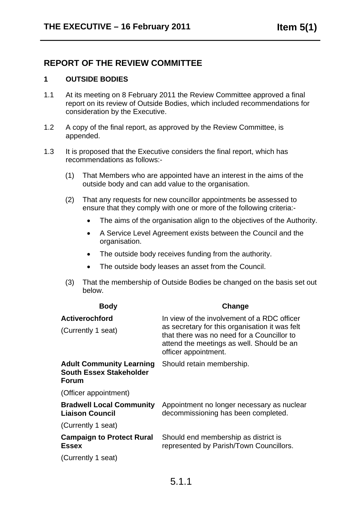## **REPORT OF THE REVIEW COMMITTEE**

## **1 OUTSIDE BODIES**

- 1.1 At its meeting on 8 February 2011 the Review Committee approved a final report on its review of Outside Bodies, which included recommendations for consideration by the Executive.
- 1.2 A copy of the final report, as approved by the Review Committee, is appended.
- 1.3 It is proposed that the Executive considers the final report, which has recommendations as follows:-
	- (1) That Members who are appointed have an interest in the aims of the outside body and can add value to the organisation.
	- (2) That any requests for new councillor appointments be assessed to ensure that they comply with one or more of the following criteria:-
		- The aims of the organisation align to the objectives of the Authority.
		- A Service Level Agreement exists between the Council and the organisation.
		- The outside body receives funding from the authority.
		- The outside body leases an asset from the Council.
	- (3) That the membership of Outside Bodies be changed on the basis set out below.

| <b>Body</b>                                                                       | Change                                                                                                                                                                                                           |
|-----------------------------------------------------------------------------------|------------------------------------------------------------------------------------------------------------------------------------------------------------------------------------------------------------------|
| <b>Activerochford</b><br>(Currently 1 seat)                                       | In view of the involvement of a RDC officer<br>as secretary for this organisation it was felt<br>that there was no need for a Councillor to<br>attend the meetings as well. Should be an<br>officer appointment. |
| <b>Adult Community Learning</b><br><b>South Essex Stakeholder</b><br><b>Forum</b> | Should retain membership.                                                                                                                                                                                        |
| (Officer appointment)                                                             |                                                                                                                                                                                                                  |
| <b>Bradwell Local Community</b><br><b>Liaison Council</b>                         | Appointment no longer necessary as nuclear<br>decommissioning has been completed.                                                                                                                                |
| (Currently 1 seat)                                                                |                                                                                                                                                                                                                  |
| <b>Campaign to Protect Rural</b><br><b>Essex</b>                                  | Should end membership as district is<br>represented by Parish/Town Councillors.                                                                                                                                  |
| (Currently 1 seat)                                                                |                                                                                                                                                                                                                  |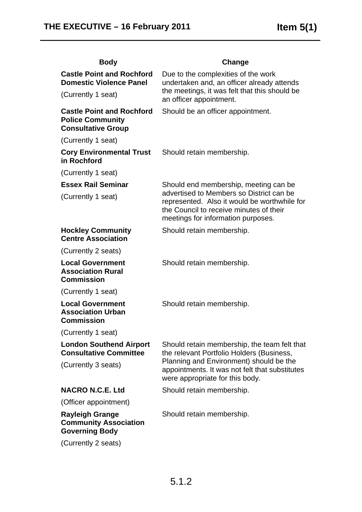| <b>Body</b>                                                                              | Change                                                                                                                                                                                                             |
|------------------------------------------------------------------------------------------|--------------------------------------------------------------------------------------------------------------------------------------------------------------------------------------------------------------------|
| <b>Castle Point and Rochford</b><br><b>Domestic Violence Panel</b>                       | Due to the complexities of the work<br>undertaken and, an officer already attends<br>the meetings, it was felt that this should be<br>an officer appointment.                                                      |
| (Currently 1 seat)                                                                       |                                                                                                                                                                                                                    |
| <b>Castle Point and Rochford</b><br><b>Police Community</b><br><b>Consultative Group</b> | Should be an officer appointment.                                                                                                                                                                                  |
| (Currently 1 seat)                                                                       |                                                                                                                                                                                                                    |
| <b>Cory Environmental Trust</b><br>in Rochford                                           | Should retain membership.                                                                                                                                                                                          |
| (Currently 1 seat)                                                                       |                                                                                                                                                                                                                    |
| <b>Essex Rail Seminar</b>                                                                | Should end membership, meeting can be<br>advertised to Members so District can be<br>represented. Also it would be worthwhile for<br>the Council to receive minutes of their<br>meetings for information purposes. |
| (Currently 1 seat)                                                                       |                                                                                                                                                                                                                    |
| <b>Hockley Community</b><br><b>Centre Association</b>                                    | Should retain membership.                                                                                                                                                                                          |
| (Currently 2 seats)                                                                      |                                                                                                                                                                                                                    |
| <b>Local Government</b><br><b>Association Rural</b><br><b>Commission</b>                 | Should retain membership.                                                                                                                                                                                          |
| (Currently 1 seat)                                                                       |                                                                                                                                                                                                                    |
| <b>Local Government</b><br><b>Association Urban</b><br><b>Commission</b>                 | Should retain membership.                                                                                                                                                                                          |
| (Currently 1 seat)                                                                       |                                                                                                                                                                                                                    |
| <b>London Southend Airport</b><br><b>Consultative Committee</b>                          | Should retain membership, the team felt that<br>the relevant Portfolio Holders (Business,                                                                                                                          |
| (Currently 3 seats)                                                                      | Planning and Environment) should be the<br>appointments. It was not felt that substitutes<br>were appropriate for this body.                                                                                       |
| <b>NACRO N.C.E. Ltd</b>                                                                  | Should retain membership.                                                                                                                                                                                          |
| (Officer appointment)                                                                    |                                                                                                                                                                                                                    |
| <b>Rayleigh Grange</b><br><b>Community Association</b><br><b>Governing Body</b>          | Should retain membership.                                                                                                                                                                                          |
| (Currently 2 seats)                                                                      |                                                                                                                                                                                                                    |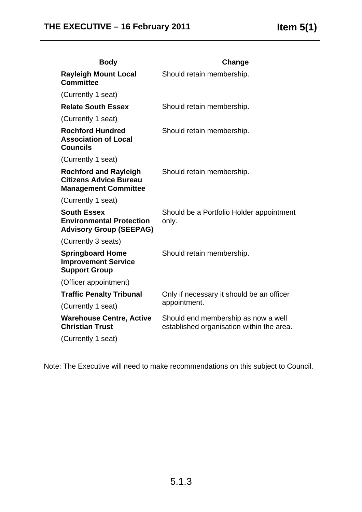| <b>Body</b>                                                                                  | Change                                                                           |
|----------------------------------------------------------------------------------------------|----------------------------------------------------------------------------------|
| <b>Rayleigh Mount Local</b><br><b>Committee</b>                                              | Should retain membership.                                                        |
| (Currently 1 seat)                                                                           |                                                                                  |
| <b>Relate South Essex</b>                                                                    | Should retain membership.                                                        |
| (Currently 1 seat)                                                                           |                                                                                  |
| <b>Rochford Hundred</b><br><b>Association of Local</b><br><b>Councils</b>                    | Should retain membership.                                                        |
| (Currently 1 seat)                                                                           |                                                                                  |
| <b>Rochford and Rayleigh</b><br><b>Citizens Advice Bureau</b><br><b>Management Committee</b> | Should retain membership.                                                        |
| (Currently 1 seat)                                                                           |                                                                                  |
| <b>South Essex</b><br><b>Environmental Protection</b><br><b>Advisory Group (SEEPAG)</b>      | Should be a Portfolio Holder appointment<br>only.                                |
| (Currently 3 seats)                                                                          |                                                                                  |
| <b>Springboard Home</b><br><b>Improvement Service</b><br><b>Support Group</b>                | Should retain membership.                                                        |
| (Officer appointment)                                                                        |                                                                                  |
| <b>Traffic Penalty Tribunal</b>                                                              | Only if necessary it should be an officer<br>appointment.                        |
| (Currently 1 seat)                                                                           |                                                                                  |
| <b>Warehouse Centre, Active</b><br><b>Christian Trust</b>                                    | Should end membership as now a well<br>established organisation within the area. |
| (Currently 1 seat)                                                                           |                                                                                  |

Note: The Executive will need to make recommendations on this subject to Council.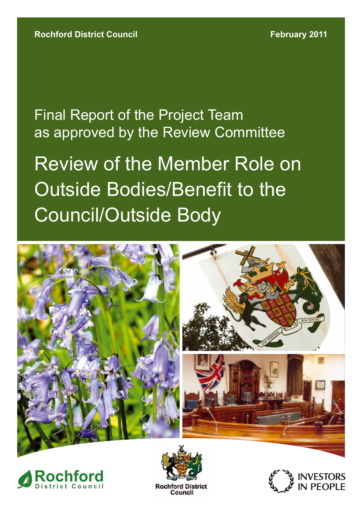as approved by the Review Committee Final Report of the Project Team

Review of the Member Role on Outside Bodies/Benefit to the Council/Outside Body